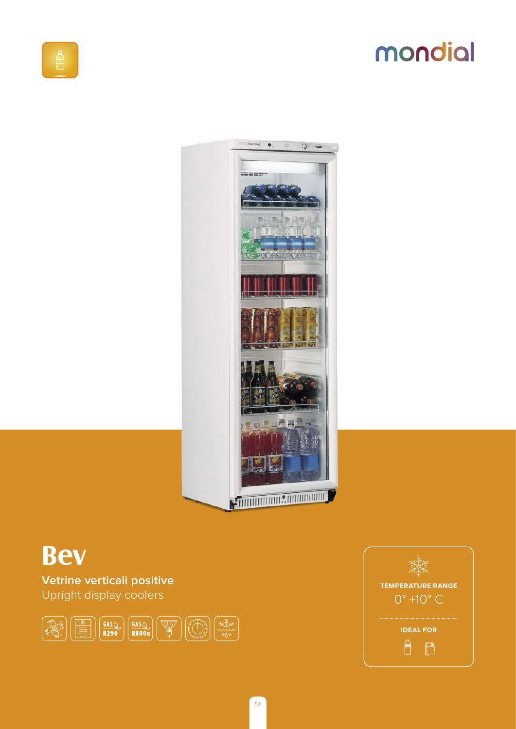# mondial



## **Bev**

Vetrine verticali positive Upright display coolers